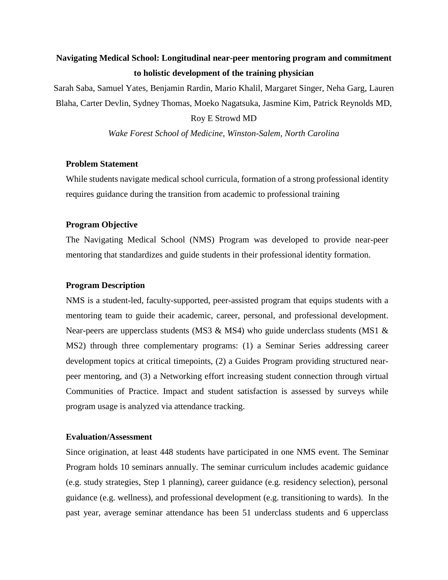# **Navigating Medical School: Longitudinal near-peer mentoring program and commitment to holistic development of the training physician**

Sarah Saba, Samuel Yates, Benjamin Rardin, Mario Khalil, Margaret Singer, Neha Garg, Lauren Blaha, Carter Devlin, Sydney Thomas, Moeko Nagatsuka, Jasmine Kim, Patrick Reynolds MD,

# Roy E Strowd MD

*Wake Forest School of Medicine, Winston-Salem, North Carolina* 

# **Problem Statement**

While students navigate medical school curricula, formation of a strong professional identity requires guidance during the transition from academic to professional training

#### **Program Objective**

The Navigating Medical School (NMS) Program was developed to provide near-peer mentoring that standardizes and guide students in their professional identity formation.

# **Program Description**

NMS is a student-led, faculty-supported, peer-assisted program that equips students with a mentoring team to guide their academic, career, personal, and professional development. Near-peers are upperclass students (MS3  $\&$  MS4) who guide underclass students (MS1  $\&$ MS2) through three complementary programs: (1) a Seminar Series addressing career development topics at critical timepoints, (2) a Guides Program providing structured nearpeer mentoring, and (3) a Networking effort increasing student connection through virtual Communities of Practice. Impact and student satisfaction is assessed by surveys while program usage is analyzed via attendance tracking.

#### **Evaluation/Assessment**

Since origination, at least 448 students have participated in one NMS event. The Seminar Program holds 10 seminars annually. The seminar curriculum includes academic guidance (e.g. study strategies, Step 1 planning), career guidance (e.g. residency selection), personal guidance (e.g. wellness), and professional development (e.g. transitioning to wards). In the past year, average seminar attendance has been 51 underclass students and 6 upperclass